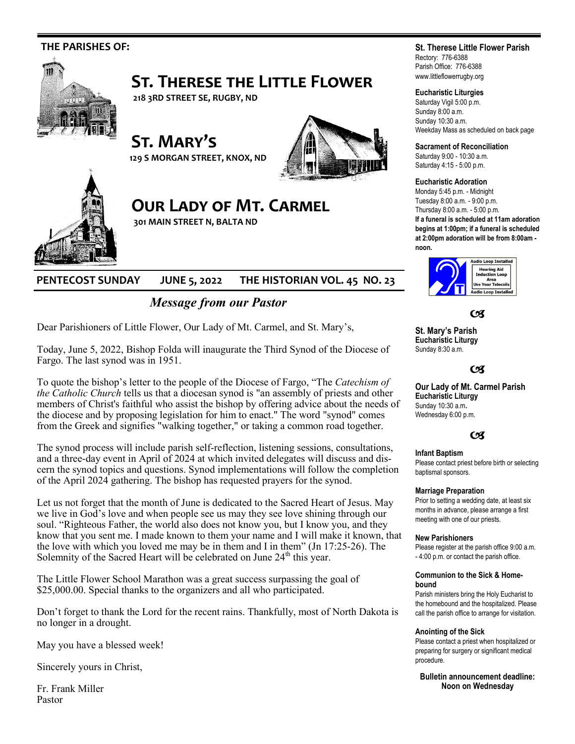

# **PENTECOST SUNDAY JUNE 5, 2022 THE HISTORIAN VOL. 45 NO. 23**

# *Message from our Pastor*

Dear Parishioners of Little Flower, Our Lady of Mt. Carmel, and St. Mary's,

Today, June 5, 2022, Bishop Folda will inaugurate the Third Synod of the Diocese of Fargo. The last synod was in 1951.

To quote the bishop's letter to the people of the Diocese of Fargo, "The *Catechism of the Catholic Church* tells us that a diocesan synod is "an assembly of priests and other members of Christ's faithful who assist the bishop by offering advice about the needs of the diocese and by proposing legislation for him to enact." The word "synod" comes from the Greek and signifies "walking together," or taking a common road together.

The synod process will include parish self-reflection, listening sessions, consultations, and a three-day event in April of 2024 at which invited delegates will discuss and discern the synod topics and questions. Synod implementations will follow the completion of the April 2024 gathering. The bishop has requested prayers for the synod.

Let us not forget that the month of June is dedicated to the Sacred Heart of Jesus. May we live in God's love and when people see us may they see love shining through our soul. "Righteous Father, the world also does not know you, but I know you, and they know that you sent me. I made known to them your name and I will make it known, that the love with which you loved me may be in them and I in them" (Jn 17:25-26). The Solemnity of the Sacred Heart will be celebrated on June  $24<sup>th</sup>$  this year.

The Little Flower School Marathon was a great success surpassing the goal of \$25,000.00. Special thanks to the organizers and all who participated.

Don't forget to thank the Lord for the recent rains. Thankfully, most of North Dakota is no longer in a drought.

May you have a blessed week!

Sincerely yours in Christ,

Fr. Frank Miller Pastor

## **St. Therese Little Flower Parish**

Rectory: 776-6388 Parish Office: 776-6388 www.littleflowerrugby.org

### **Eucharistic Liturgies**

Saturday Vigil 5:00 p.m. Sunday 8:00 a.m. Sunday 10:30 a.m. Weekday Mass as scheduled on back page

**Sacrament of Reconciliation**

Saturday 9:00 - 10:30 a.m. Saturday 4:15 - 5:00 p.m.

#### **Eucharistic Adoration**

Monday 5:45 p.m. - Midnight Tuesday 8:00 a.m. - 9:00 p.m. Thursday 8:00 a.m. - 5:00 p.m. **If a funeral is scheduled at 11am adoration begins at 1:00pm; if a funeral is scheduled at 2:00pm adoration will be from 8:00am -**



 $C<sub>3</sub>$ 

**St. Mary's Parish Eucharistic Liturgy**  Sunday 8:30 a.m.

## $C<sup>q</sup>$

**Our Lady of Mt. Carmel Parish Eucharistic Liturgy**  Sunday 10:30 a.m**.**  Wednesday 6:00 p.m.

## $C<sub>3</sub>$

#### **Infant Baptism**

Please contact priest before birth or selecting baptismal sponsors.

#### **Marriage Preparation**

Prior to setting a wedding date, at least six months in advance, please arrange a first meeting with one of our priests.

#### **New Parishioners**

Please register at the parish office 9:00 a.m. - 4:00 p.m. or contact the parish office.

#### **Communion to the Sick & Homebound**

Parish ministers bring the Holy Eucharist to the homebound and the hospitalized. Please call the parish office to arrange for visitation.

#### **Anointing of the Sick**

Please contact a priest when hospitalized or preparing for surgery or significant medical procedure.

**Bulletin announcement deadline: Noon on Wednesday**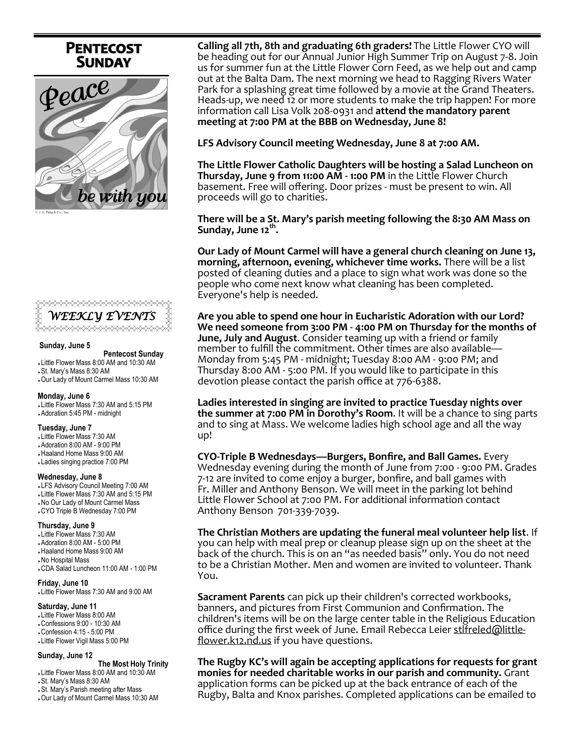# **PENTECOST SUNDAY**





#### **Sunday, June 5**

 **Pentecost Sunday**  Little Flower Mass 8:00 AM and 10:30 AM St. Mary's Mass 8:30 AM Our Lady of Mount Carmel Mass 10:30 AM

#### **Monday, June 6**

 Little Flower Mass 7:30 AM and 5:15 PM Adoration 5:45 PM - midnight

#### **Tuesday, June 7**

 Little Flower Mass 7:30 AM Adoration 8:00 AM - 9:00 PM Haaland Home Mass 9:00 AM

- Ladies singing practice 7:00 PM
- **Wednesday, June 8** LFS Advisory Council Meeting 7:00 AM Little Flower Mass 7:30 AM and 5:15 PM No Our Lady of Mount Carmel Mass
- CYO Triple B Wednesday 7:00 PM

#### **Thursday, June 9**

 Little Flower Mass 7:30 AM Adoration 8:00 AM - 5:00 PM Haaland Home Mass 9:00 AM No Hospital Mass CDA Salad Luncheon 11:00 AM - 1:00 PM

## **Friday, June 10** Little Flower Mass 7:30 AM and 9:00 AM

#### **Saturday, June 11**

 Little Flower Mass 8:00 AM Confessions 9:00 - 10:30 AM Confession 4:15 - 5:00 PM

Little Flower Vigil Mass 5:00 PM

#### **Sunday, June 12**

 **The Most Holy Trinity** 

- Little Flower Mass 8:00 AM and 10:30 AM
- St. Mary's Mass 8:30 AM
- St. Mary's Parish meeting after Mass
- Our Lady of Mount Carmel Mass 10:30 AM

**Calling all 7th, 8th and graduating 6th graders!** The Little Flower CYO will be heading out for our Annual Junior High Summer Trip on August 7-8. Join us for summer fun at the Little Flower Corn Feed, as we help out and camp out at the Balta Dam. The next morning we head to Ragging Rivers Water Park for a splashing great time followed by a movie at the Grand Theaters. Heads-up, we need 12 or more students to make the trip happen! For more information call Lisa Volk 208-0931 and **attend the mandatory parent meeting at 7:00 PM at the BBB on Wednesday, June 8!**

**LFS Advisory Council meeting Wednesday, June 8 at 7:00 AM.** 

**The Little Flower Catholic Daughters will be hosting a Salad Luncheon on Thursday, June 9 from 11:00 AM - 1:00 PM** in the Little Flower Church basement. Free will offering. Door prizes - must be present to win. All proceeds will go to charities.

## **There will be a St. Mary's parish meeting following the 8:30 AM Mass on Sunday, June 12th .**

**Our Lady of Mount Carmel will have a general church cleaning on June 13, morning, afternoon, evening, whichever time works.** There will be a list posted of cleaning duties and a place to sign what work was done so the people who come next know what cleaning has been completed. Everyone's help is needed.

**Are you able to spend one hour in Eucharistic Adoration with our Lord? We need someone from 3:00 PM - 4:00 PM on Thursday for the months of June, July and August**. Consider teaming up with a friend or family member to fulfill the commitment. Other times are also available— Monday from 5:45 PM - midnight; Tuesday 8:00 AM - 9:00 PM; and Thursday 8:00 AM - 5:00 PM. If you would like to participate in this devotion please contact the parish office at 776-6388.

**Ladies interested in singing are invited to practice Tuesday nights over the summer at 7:00 PM in Dorothy's Room**. It will be a chance to sing parts and to sing at Mass. We welcome ladies high school age and all the way up!

**CYO-Triple B Wednesdays—Burgers, Bonfire, and Ball Games.** Every Wednesday evening during the month of June from 7:00 - 9:00 PM. Grades 7-12 are invited to come enjoy a burger, bonfire, and ball games with Fr. Miller and Anthony Benson. We will meet in the parking lot behind Little Flower School at 7:00 PM. For additional information contact Anthony Benson 701-339-7039.

**The Christian Mothers are updating the funeral meal volunteer help list**. If you can help with meal prep or cleanup please sign up on the sheet at the back of the church. This is on an "as needed basis" only. You do not need to be a Christian Mother. Men and women are invited to volunteer. Thank You.

**Sacrament Parents** can pick up their children's corrected workbooks, banners, and pictures from First Communion and Confirmation. The children's items will be on the large center table in the Religious Education office during the first week of June. Email Rebecca Leier [stlfreled@little](mailto:stlfreled@little-flower.k12.nd.us)[flower.k12.nd.us](mailto:stlfreled@little-flower.k12.nd.us) if you have questions.

**The Rugby KC's will again be accepting applications for requests for grant monies for needed charitable works in our parish and community.** Grant application forms can be picked up at the back entrance of each of the Rugby, Balta and Knox parishes. Completed applications can be emailed to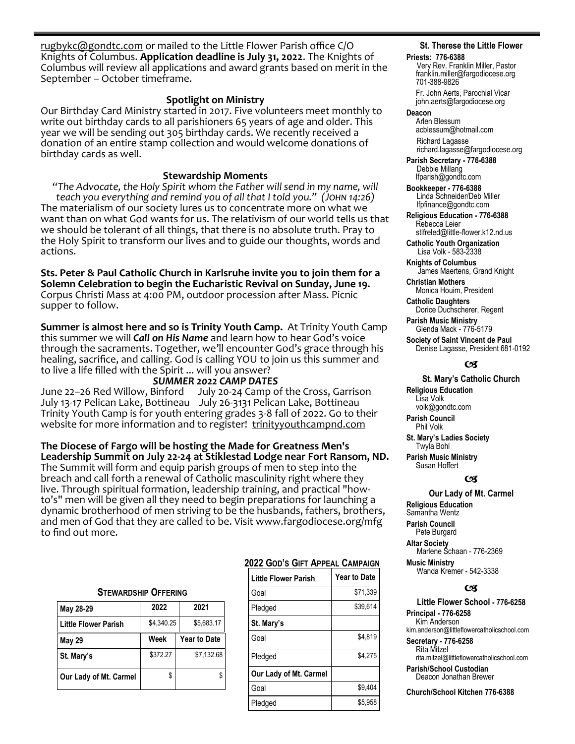[rugbykc@gondtc.com](mailto:rugbykc@gondtc.com) or mailed to the Little Flower Parish office C/O Knights of Columbus. **Application deadline is July 31, 2022**. The Knights of Columbus will review all applications and award grants based on merit in the September – October timeframe.

## **Spotlight on Ministry**

Our Birthday Card Ministry started in 2017. Five volunteers meet monthly to write out birthday cards to all parishioners 65 years of age and older. This year we will be sending out 305 birthday cards. We recently received a donation of an entire stamp collection and would welcome donations of birthday cards as well.

## **Stewardship Moments**

*"The Advocate, the Holy Spirit whom the Father will send in my name, will teach you everything and remind you of all that I told you." (John 14:26)* The materialism of our society lures us to concentrate more on what we want than on what God wants for us. The relativism of our world tells us that we should be tolerant of all things, that there is no absolute truth. Pray to the Holy Spirit to transform our lives and to guide our thoughts, words and actions.

**Sts. Peter & Paul Catholic Church in Karlsruhe invite you to join them for a Solemn Celebration to begin the Eucharistic Revival on Sunday, June 19.**  Corpus Christi Mass at 4:00 PM, outdoor procession after Mass. Picnic supper to follow.

**Summer is almost here and so is Trinity Youth Camp.** At Trinity Youth Camp this summer we will *Call on His Name* and learn how to hear God's voice through the sacraments. Together, we'll encounter God's grace through his healing, sacrifice, and calling. God is calling YOU to join us this summer and to live a life filled with the Spirit ... will you answer?

**SUMMER 2022 CAMP DATES**<br>June 22–26 Red Willow, Binford July 20-24 Camp o July 20-24 Camp of the Cross, Garrison July 13-17 Pelican Lake, Bottineau July 26-3131 Pelican Lake, Bottineau Trinity Youth Camp is for youth entering grades 3-8 fall of 2022. Go to their website for more information and to register! [trinityyouthcampnd.com](http://trinityyouthcampnd.com)

**The Diocese of Fargo will be hosting the Made for Greatness Men's Leadership Summit on July 22-24 at Stiklestad Lodge near Fort Ransom, ND.**  The Summit will form and equip parish groups of men to step into the breach and call forth a renewal of Catholic masculinity right where they live. Through spiritual formation, leadership training, and practical "howto's" men will be given all they need to begin preparations for launching a dynamic brotherhood of men striving to be the husbands, fathers, brothers, and men of God that they are called to be. Visit [www.fargodiocese.org/mfg](http://www.fargodiocese.org/mfg) to find out more.

### **STEWARDSHIP OFFERING**

| May 28-29                   | 2022       | 2021                |  |  |
|-----------------------------|------------|---------------------|--|--|
| <b>Little Flower Parish</b> | \$4,340.25 | \$5,683.17          |  |  |
| <b>May 29</b>               | Week       | <b>Year to Date</b> |  |  |
| St. Mary's                  | \$372.27   | \$7.132.68          |  |  |
| Our Lady of Mt. Carmel      | \$         |                     |  |  |

## **2022 GOD'S GIFT APPEAL CAMPAIGN**

| <b>Little Flower Parish</b> | <b>Year to Date</b> |  |  |  |
|-----------------------------|---------------------|--|--|--|
| Goal                        | \$71,339            |  |  |  |
| Pledged                     | \$39.614            |  |  |  |
| St. Mary's                  |                     |  |  |  |
| Goal                        | \$4.819             |  |  |  |
| Pledged                     | \$4.275             |  |  |  |
| Our Lady of Mt. Carmel      |                     |  |  |  |
| Goal                        | \$9.404             |  |  |  |
| Pledged                     | \$5.958             |  |  |  |

## **St. Therese the Little Flower**

#### **Priests: 776-6388**

Very Rev. Franklin Miller, Pastor franklin.miller@fargodiocese.org 701-388-9826

 Fr. John Aerts, Parochial Vicar john.aerts@fargodiocese.org

#### **Deacon**

 Arlen Blessum acblessum@hotmail.com Richard Lagasse richard.lagasse@fargodiocese.org

**Parish Secretary - 776-6388** Debbie Millang lfparish@gondtc.com

**Bookkeeper - 776-6388** Linda Schneider/Deb Miller lfpfinance@gondtc.com

**Religious Education - 776-6388** Rebecca Leier [stlfreled@little-flower.k12.nd.us](mailto:stlfreled@little-flower.k12.nd.us) 

**Catholic Youth Organization** Lisa Volk - 583-2338

**Knights of Columbus** James Maertens, Grand Knight

**Christian Mothers** Monica Houim, President

**Catholic Daughters** Dorice Duchscherer, Regent **Parish Music Ministry**

Glenda Mack - 776-5179

**Society of Saint Vincent de Paul** Denise Lagasse, President 681-0192

## (x

### **St. Mary's Catholic Church**

**Religious Education**  Lisa Volk volk@gondtc.com **Parish Council** 

Phil Volk

**St. Mary's Ladies Society**  Twyla Bohl

**Parish Music Ministry** Susan Hoffert

### $\alpha$

## **Our Lady of Mt. Carmel**

**Religious Education**  Samantha Wentz **Parish Council**  Pete Burgard **Altar Society**  Marlene Schaan - 776-2369

**Music Ministry** Wanda Kremer - 542-3338

### $\epsilon$

**Little Flower School - 776-6258 Principal - 776-6258** Kim Anderson kim.anderson@littleflowercatholicschool.com

**Secretary - 776-6258** Rita Mitzel rita.mitzel@littleflowercatholicschool.com

**Parish/School Custodian** Deacon Jonathan Brewer

**Church/School Kitchen 776-6388**